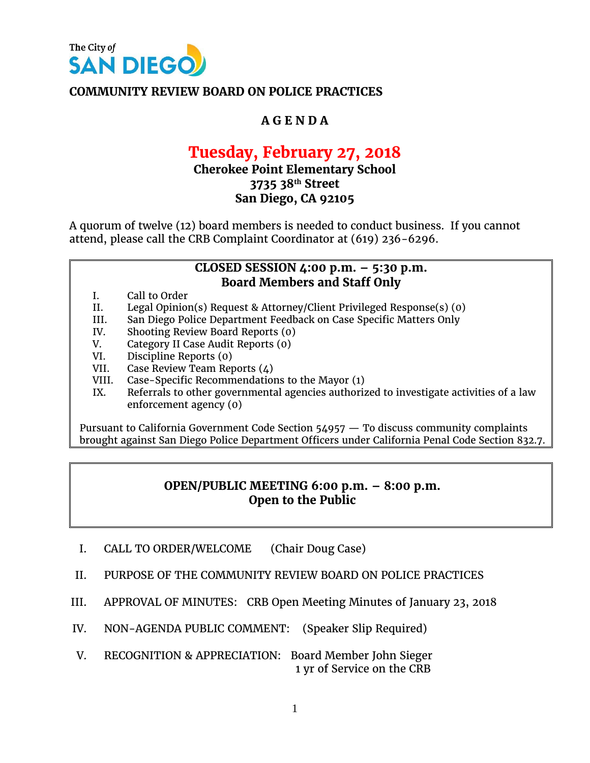

### **COMMUNITY REVIEW BOARD ON POLICE PRACTICES**

# **A G E N D A**

# **Tuesday, February 27, 2018**

## **Cherokee Point Elementary School 3735 38th Street San Diego, CA 92105**

A quorum of twelve (12) board members is needed to conduct business. If you cannot attend, please call the CRB Complaint Coordinator at (619) 236-6296.

#### **CLOSED SESSION 4:00 p.m. – 5:30 p.m. Board Members and Staff Only**

- I. Call to Order
- II. Legal Opinion(s) Request & Attorney/Client Privileged Response(s) (0)
- III. San Diego Police Department Feedback on Case Specific Matters Only
- IV. Shooting Review Board Reports (0)
- V. Category II Case Audit Reports (0)
- VI. Discipline Reports (0)
- VII. Case Review Team Reports (4)
- VIII. Case-Specific Recommendations to the Mayor (1)
- IX. Referrals to other governmental agencies authorized to investigate activities of a law enforcement agency (0)

Pursuant to California Government Code Section 54957 — To discuss community complaints brought against San Diego Police Department Officers under California Penal Code Section 832.7.

#### **OPEN/PUBLIC MEETING 6:00 p.m. – 8:00 p.m. Open to the Public**

- I. CALL TO ORDER/WELCOME (Chair Doug Case)
- II. PURPOSE OF THE COMMUNITY REVIEW BOARD ON POLICE PRACTICES
- III. APPROVAL OF MINUTES: CRB Open Meeting Minutes of January 23, 2018
- IV. NON-AGENDA PUBLIC COMMENT: (Speaker Slip Required)
- V. RECOGNITION & APPRECIATION: Board Member John Sieger 1 yr of Service on the CRB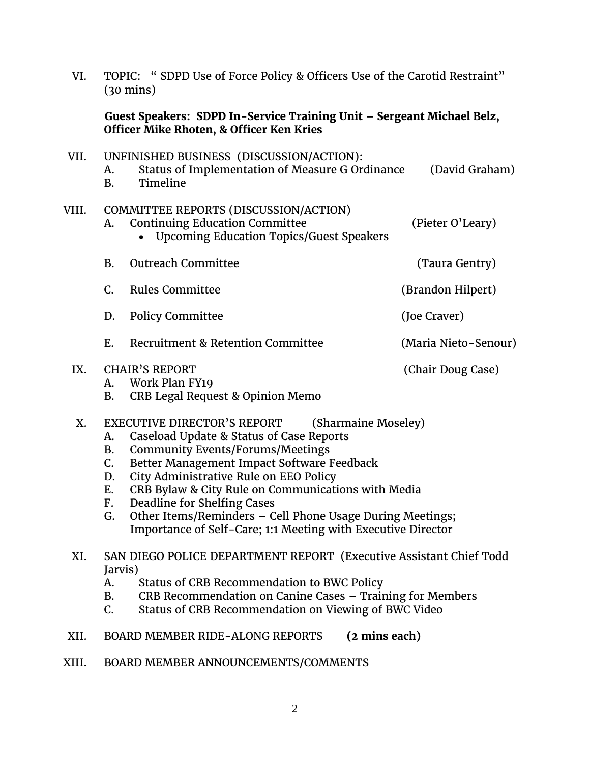| VI.   | TOPIC: "SDPD Use of Force Policy & Officers Use of the Carotid Restraint"<br>$(30 \text{ mins})$<br>Guest Speakers: SDPD In-Service Training Unit - Sergeant Michael Belz,<br>Officer Mike Rhoten, & Officer Ken Kries |                                                                                                                                                                                                                                                                                                                                                                                                                                                     |                      |  |
|-------|------------------------------------------------------------------------------------------------------------------------------------------------------------------------------------------------------------------------|-----------------------------------------------------------------------------------------------------------------------------------------------------------------------------------------------------------------------------------------------------------------------------------------------------------------------------------------------------------------------------------------------------------------------------------------------------|----------------------|--|
|       |                                                                                                                                                                                                                        |                                                                                                                                                                                                                                                                                                                                                                                                                                                     |                      |  |
| VII.  | A.<br><b>B.</b>                                                                                                                                                                                                        | UNFINISHED BUSINESS (DISCUSSION/ACTION):<br>Status of Implementation of Measure G Ordinance<br>(David Graham)<br>Timeline                                                                                                                                                                                                                                                                                                                           |                      |  |
| VIII. | A.                                                                                                                                                                                                                     | COMMITTEE REPORTS (DISCUSSION/ACTION)<br><b>Continuing Education Committee</b><br><b>Upcoming Education Topics/Guest Speakers</b>                                                                                                                                                                                                                                                                                                                   | (Pieter O'Leary)     |  |
|       | <b>B.</b>                                                                                                                                                                                                              | <b>Outreach Committee</b>                                                                                                                                                                                                                                                                                                                                                                                                                           | (Taura Gentry)       |  |
|       | C.                                                                                                                                                                                                                     | <b>Rules Committee</b>                                                                                                                                                                                                                                                                                                                                                                                                                              | (Brandon Hilpert)    |  |
|       | D.                                                                                                                                                                                                                     | <b>Policy Committee</b>                                                                                                                                                                                                                                                                                                                                                                                                                             | (Joe Craver)         |  |
|       | E.                                                                                                                                                                                                                     | Recruitment & Retention Committee                                                                                                                                                                                                                                                                                                                                                                                                                   | (Maria Nieto-Senour) |  |
| IX.   | A.<br><b>B.</b>                                                                                                                                                                                                        | <b>CHAIR'S REPORT</b><br>Work Plan FY19<br>CRB Legal Request & Opinion Memo                                                                                                                                                                                                                                                                                                                                                                         | (Chair Doug Case)    |  |
| X.    | A.<br><b>B.</b><br>C.<br>D.<br>Ε.<br>F.<br>G.                                                                                                                                                                          | EXECUTIVE DIRECTOR'S REPORT<br>(Sharmaine Moseley)<br>Caseload Update & Status of Case Reports<br><b>Community Events/Forums/Meetings</b><br>Better Management Impact Software Feedback<br>City Administrative Rule on EEO Policy<br>CRB Bylaw & City Rule on Communications with Media<br>Deadline for Shelfing Cases<br>Other Items/Reminders - Cell Phone Usage During Meetings;<br>Importance of Self-Care; 1:1 Meeting with Executive Director |                      |  |
| XI.   | A.<br><b>B.</b><br>$C_{\cdot}$                                                                                                                                                                                         | SAN DIEGO POLICE DEPARTMENT REPORT (Executive Assistant Chief Todd<br>Jarvis)<br>Status of CRB Recommendation to BWC Policy<br>CRB Recommendation on Canine Cases - Training for Members<br>Status of CRB Recommendation on Viewing of BWC Video                                                                                                                                                                                                    |                      |  |

- XII. BOARD MEMBER RIDE-ALONG REPORTS **(2 mins each)**
- XIII. BOARD MEMBER ANNOUNCEMENTS/COMMENTS